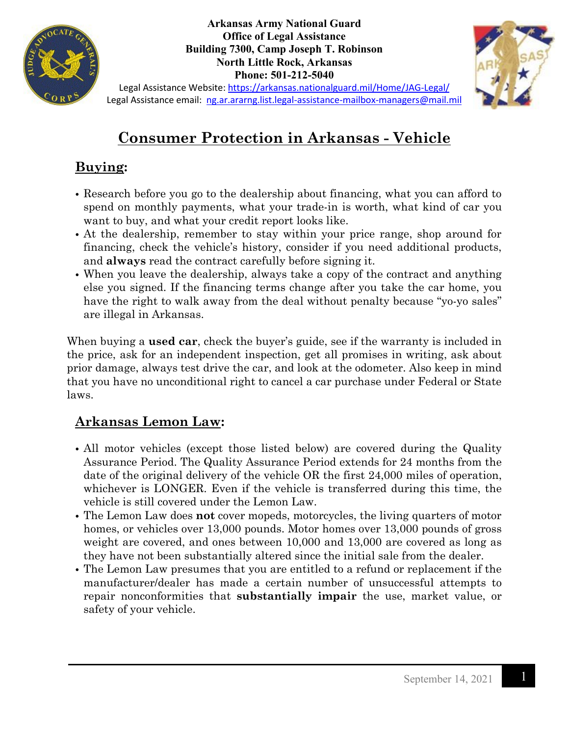

**Arkansas Army National Guard Office of Legal Assistance Building 7300, Camp Joseph T. Robinson North Little Rock, Arkansas Phone: 501-212-5040**



Legal Assistance Website:<https://arkansas.nationalguard.mil/Home/JAG-Legal/> Legal Assistance email: [ng.ar.ararng.list.legal-assistance-mailbox-managers@mail.mil](mailto:ng.ar.ararng.list.legal-assistance-mailbox-managers@mail.mil)

# **Consumer Protection in Arkansas - Vehicle**

## **Buying:**

- Research before you go to the dealership about financing, what you can afford to spend on monthly payments, what your trade-in is worth, what kind of car you want to buy, and what your credit report looks like.
- At the dealership, remember to stay within your price range, shop around for financing, check the vehicle's history, consider if you need additional products, and **always** read the contract carefully before signing it.
- When you leave the dealership, always take a copy of the contract and anything else you signed. If the financing terms change after you take the car home, you have the right to walk away from the deal without penalty because "yo-yo sales" are illegal in Arkansas.

When buying a **used car**, check the buyer's guide, see if the warranty is included in the price, ask for an independent inspection, get all promises in writing, ask about prior damage, always test drive the car, and look at the odometer. Also keep in mind that you have no unconditional right to cancel a car purchase under Federal or State laws.

#### **Arkansas Lemon Law:**

- All motor vehicles (except those listed below) are covered during the Quality Assurance Period. The Quality Assurance Period extends for 24 months from the date of the original delivery of the vehicle OR the first 24,000 miles of operation, whichever is LONGER. Even if the vehicle is transferred during this time, the vehicle is still covered under the Lemon Law.
- The Lemon Law does **not** cover mopeds, motorcycles, the living quarters of motor homes, or vehicles over 13,000 pounds. Motor homes over 13,000 pounds of gross weight are covered, and ones between 10,000 and 13,000 are covered as long as they have not been substantially altered since the initial sale from the dealer.
- The Lemon Law presumes that you are entitled to a refund or replacement if the manufacturer/dealer has made a certain number of unsuccessful attempts to repair nonconformities that **substantially impair** the use, market value, or safety of your vehicle.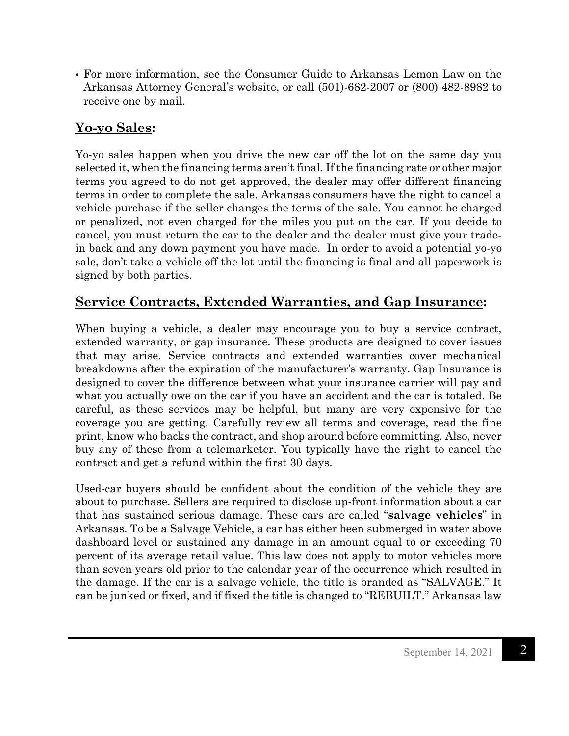• For more information, see the Consumer Guide to Arkansas Lemon Law on the Arkansas Attorney General's website, or call (501)-682-2007 or (800) 482-8982 to receive one by mail.

### **Yo-yo Sales:**

Yo-yo sales happen when you drive the new car off the lot on the same day you selected it, when the financing terms aren't final. If the financing rate or other major terms you agreed to do not get approved, the dealer may offer different financing terms in order to complete the sale. Arkansas consumers have the right to cancel a vehicle purchase if the seller changes the terms of the sale. You cannot be charged or penalized, not even charged for the miles you put on the car. If you decide to cancel, you must return the car to the dealer and the dealer must give your tradein back and any down payment you have made. In order to avoid a potential yo-yo sale, don't take a vehicle off the lot until the financing is final and all paperwork is signed by both parties.

#### **Service Contracts, Extended Warranties, and Gap Insurance:**

When buying a vehicle, a dealer may encourage you to buy a service contract, extended warranty, or gap insurance. These products are designed to cover issues that may arise. Service contracts and extended warranties cover mechanical breakdowns after the expiration of the manufacturer's warranty. Gap Insurance is designed to cover the difference between what your insurance carrier will pay and what you actually owe on the car if you have an accident and the car is totaled. Be careful, as these services may be helpful, but many are very expensive for the coverage you are getting. Carefully review all terms and coverage, read the fine print, know who backs the contract, and shop around before committing. Also, never buy any of these from a telemarketer. You typically have the right to cancel the contract and get a refund within the first 30 days.

Used-car buyers should be confident about the condition of the vehicle they are about to purchase. Sellers are required to disclose up-front information about a car that has sustained serious damage. These cars are called "**salvage vehicles**" in Arkansas. To be a Salvage Vehicle, a car has either been submerged in water above dashboard level or sustained any damage in an amount equal to or exceeding 70 percent of its average retail value. This law does not apply to motor vehicles more than seven years old prior to the calendar year of the occurrence which resulted in the damage. If the car is a salvage vehicle, the title is branded as "SALVAGE." It can be junked or fixed, and if fixed the title is changed to "REBUILT." Arkansas law